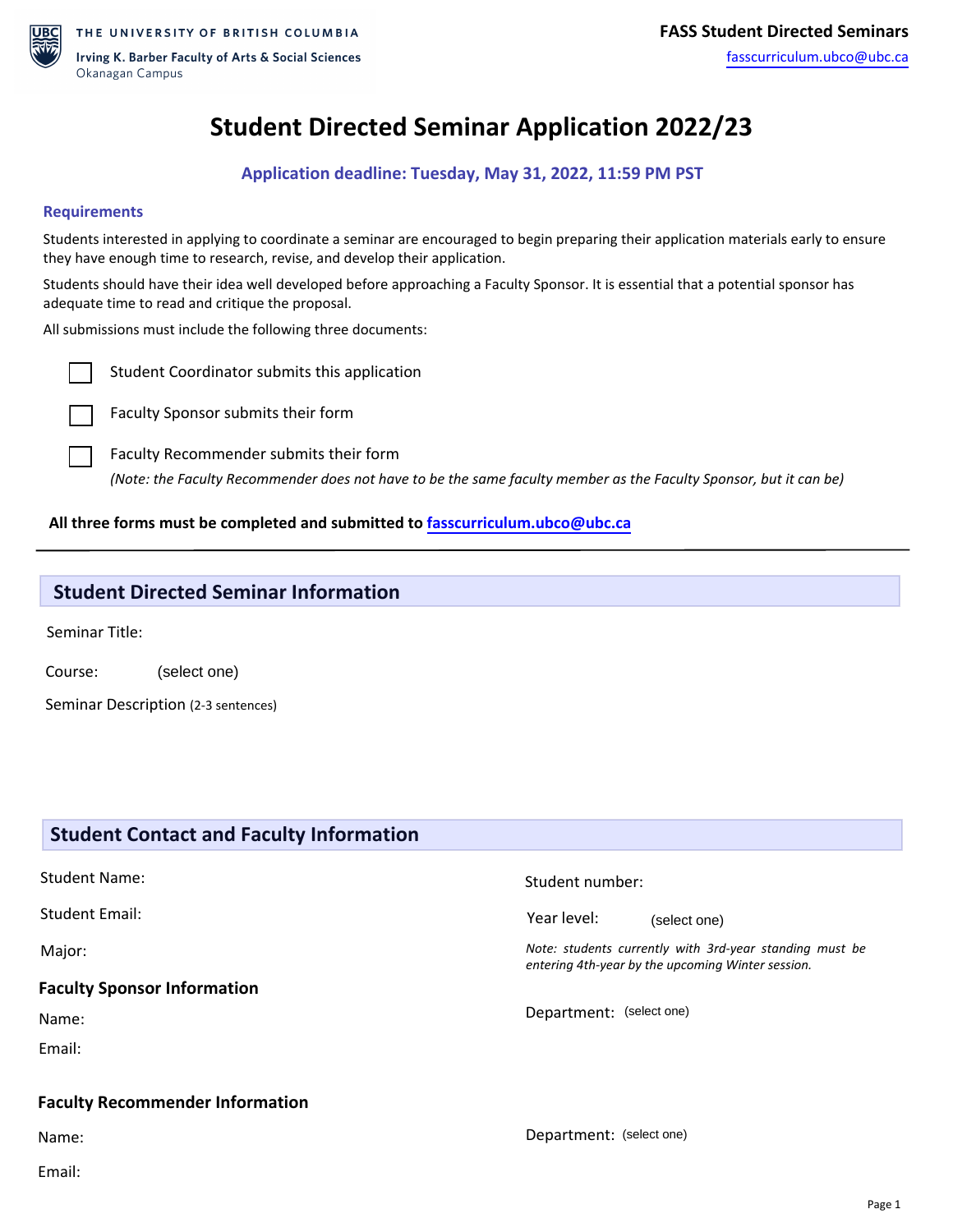

# **Student Directed Seminar Application 2022/23**

**Application deadline: Tuesday, May 31, 2022, 11:59 PM PST**

#### **Requirements**

Students interested in applying to coordinate a seminar are encouraged to begin preparing their application materials early to ensure they have enough time to research, revise, and develop their application.

Students should have their idea well developed before approaching a Faculty Sponsor. It is essential that a potential sponsor has adequate time to read and critique the proposal.

All submissions must include the following three documents:



Student Coordinator submits this application

Faculty Sponsor submits their form



*(Note: the Faculty Recommender does not have to be the same faculty member as the Faculty Sponsor, but it can be)*

#### **All three forms must be completed and submitted to [fasscurriculum.ubco@ubc.ca](mailto:fasscurriculum.ubco@ubc.ca)**

### **Student Directed Seminar Information**

Seminar Title:

Course: (select one)

Seminar Description (2-3 sentences)

## **Student Contact and Faculty Information** Student Name: Student Email: Major: **Faculty Sponsor Information**  Name: Email: **Faculty Recommender Information**  Name: Email: Student number: Year level: *Note: students currently with 3rd-year standing must be entering 4th-year by the upcoming Winter session.* Department: (select one) Department: (select one)(select one)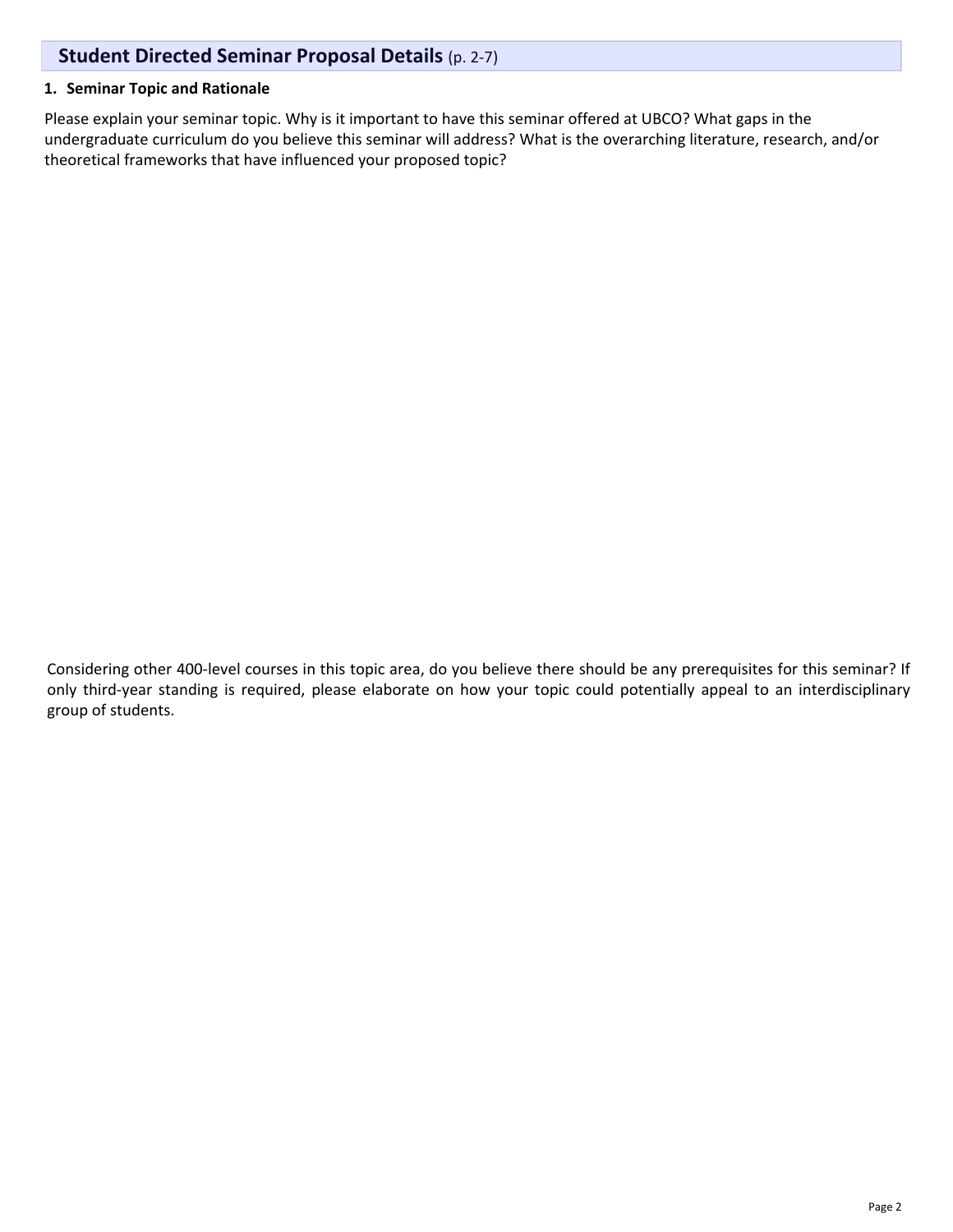# **Student Directed Seminar Proposal Details** (p. 2-7)

#### **1. Seminar Topic and Rationale**

Please explain your seminar topic. Why is it important to have this seminar offered at UBCO? What gaps in the undergraduate curriculum do you believe this seminar will address? What is the overarching literature, research, and/or theoretical frameworks that have influenced your proposed topic?

Considering other 400-level courses in this topic area, do you believe there should be any prerequisites for this seminar? If only third-year standing is required, please elaborate on how your topic could potentially appeal to an interdisciplinary group of students.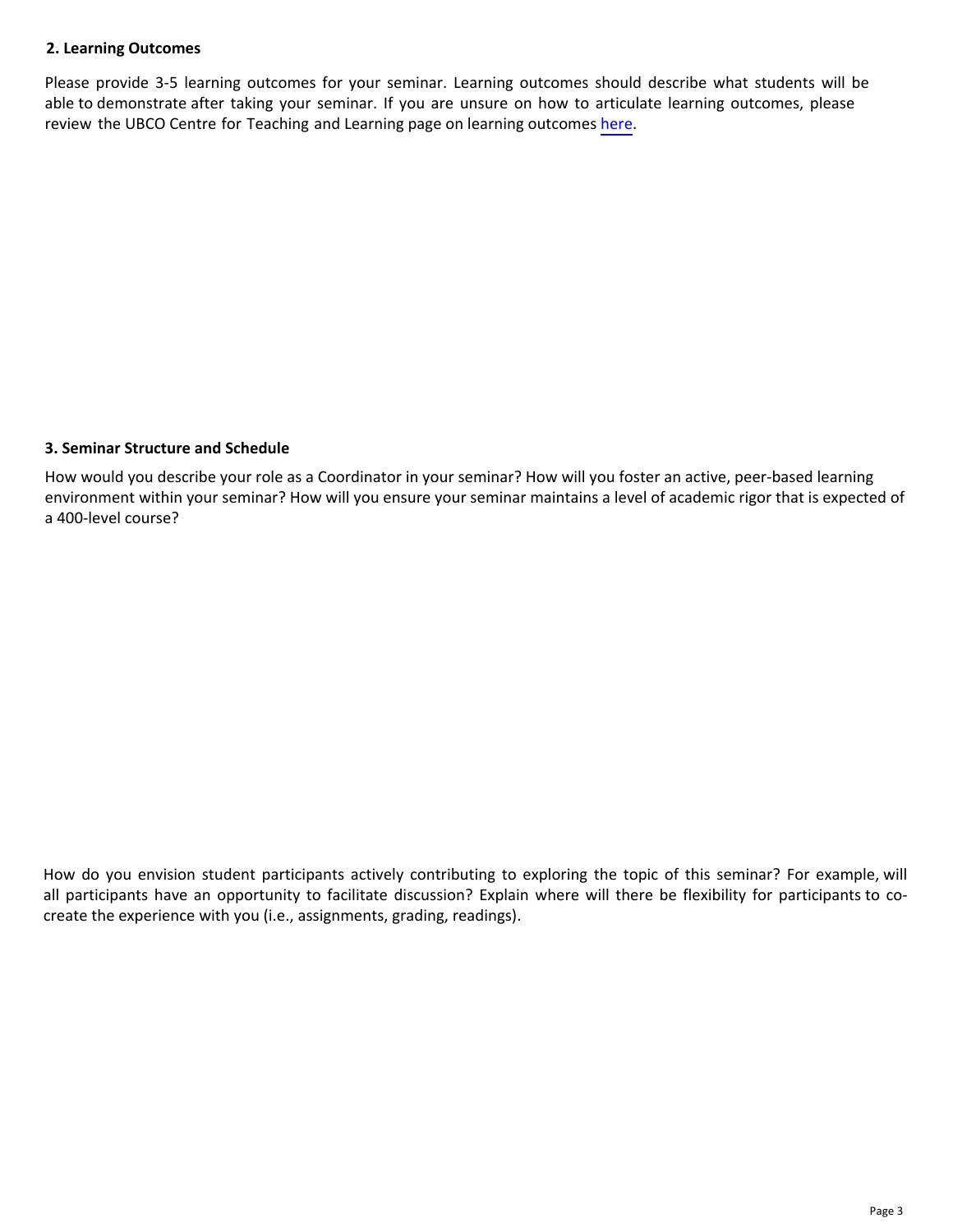#### **2. Learning Outcomes**

Please provide 3-5 learning outcomes for your seminar. Learning outcomes should describe what students will be able to demonstrate after taking your seminar. If you are unsure on how to articulate learning outcomes, please review the UBCO Centre for Teaching and Learning page on learning outcomes [here.](https://ctl.ok.ubc.ca/teaching-effectively/course-design/learning-outcomes/)

#### **3. Seminar Structure and Schedule**

How would you describe your role as a Coordinator in your seminar? How will you foster an active, peer-based learning environment within your seminar? How will you ensure your seminar maintains a level of academic rigor that is expected of a 400-level course?

How do you envision student participants actively contributing to exploring the topic of this seminar? For example, will all participants have an opportunity to facilitate discussion? Explain where will there be flexibility for participants to cocreate the experience with you (i.e., assignments, grading, readings).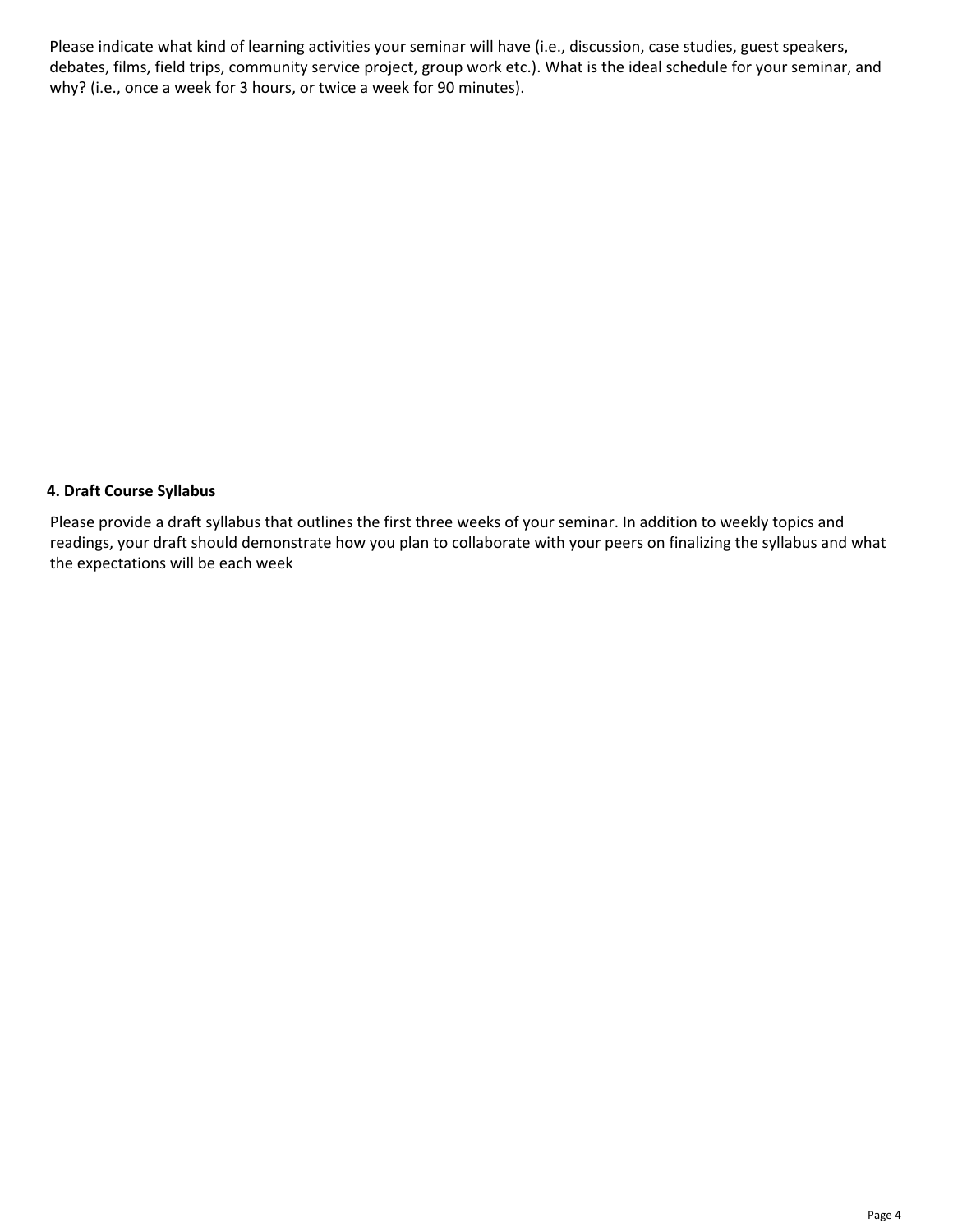Please indicate what kind of learning activities your seminar will have (i.e., discussion, case studies, guest speakers, debates, films, field trips, community service project, group work etc.). What is the ideal schedule for your seminar, and why? (i.e., once a week for 3 hours, or twice a week for 90 minutes).

#### **4. Draft Course Syllabus**

Please provide a draft syllabus that outlines the first three weeks of your seminar. In addition to weekly topics and readings, your draft should demonstrate how you plan to collaborate with your peers on finalizing the syllabus and what the expectations will be each week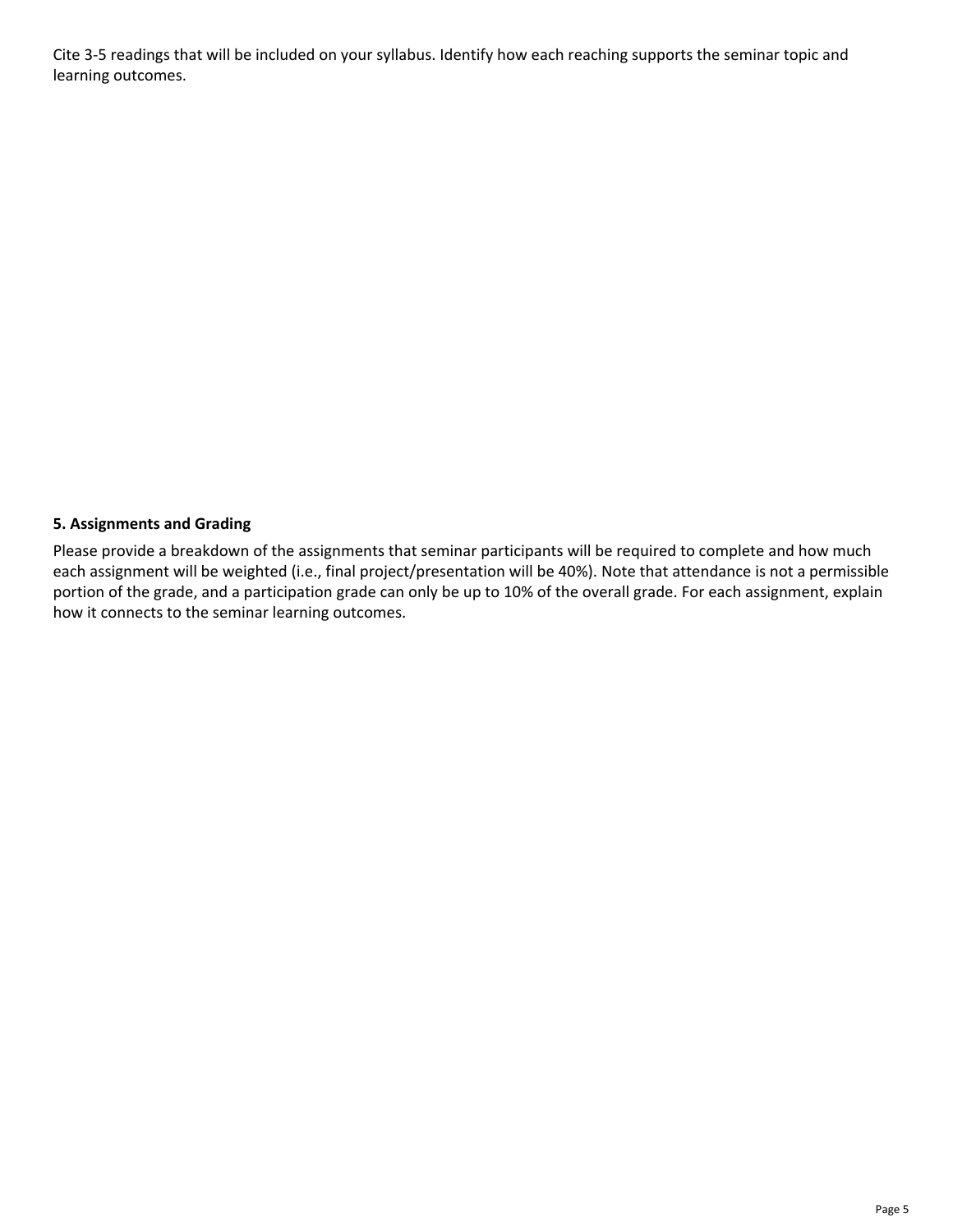Cite 3-5 readings that will be included on your syllabus. Identify how each reaching supports the seminar topic and learning outcomes.

#### **5. Assignments and Grading**

Please provide a breakdown of the assignments that seminar participants will be required to complete and how much each assignment will be weighted (i.e., final project/presentation will be 40%). Note that attendance is not a permissible portion of the grade, and a participation grade can only be up to 10% of the overall grade. For each assignment, explain how it connects to the seminar learning outcomes.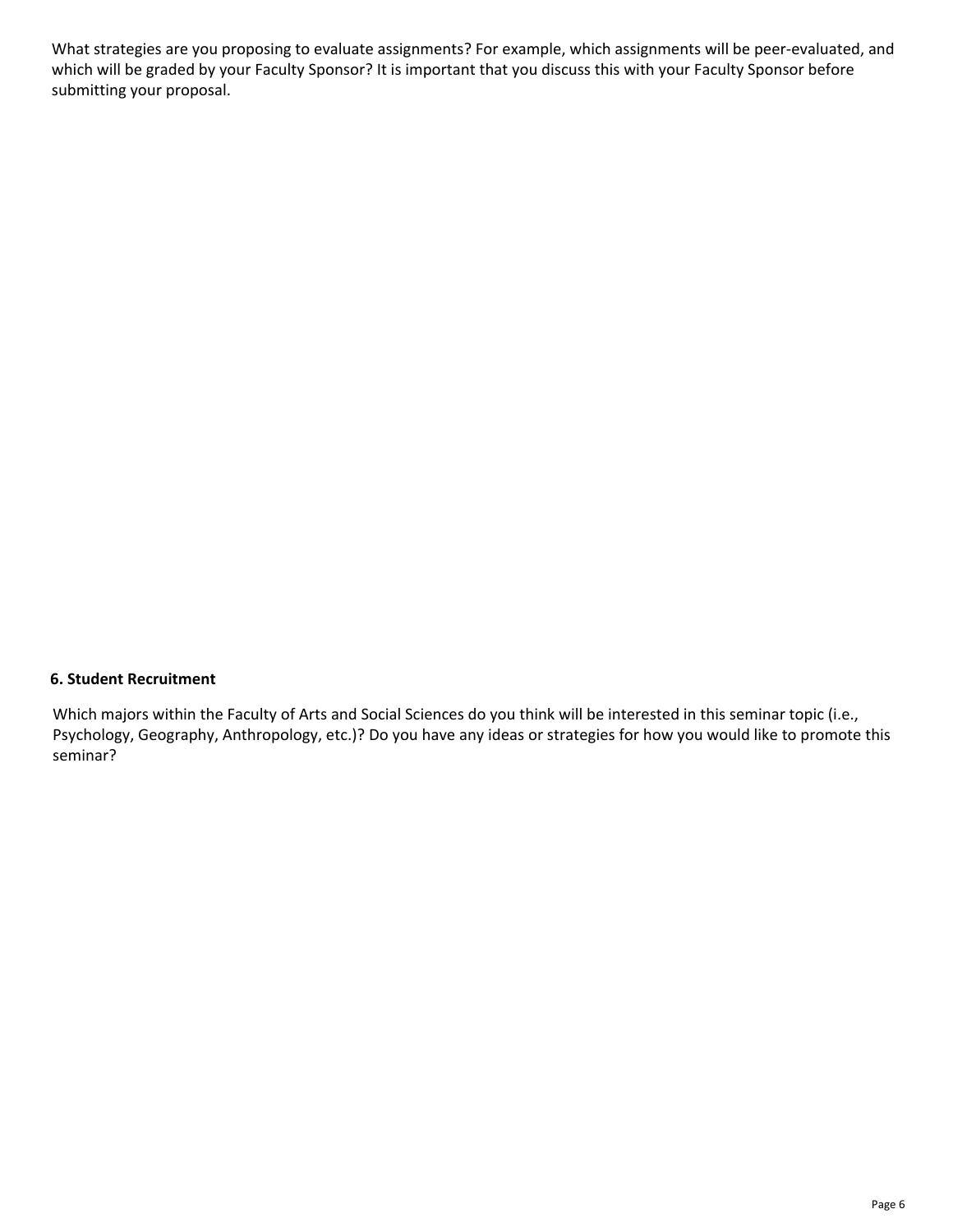What strategies are you proposing to evaluate assignments? For example, which assignments will be peer-evaluated, and which will be graded by your Faculty Sponsor? It is important that you discuss this with your Faculty Sponsor before submitting your proposal.

#### **6. Student Recruitment**

Which majors within the Faculty of Arts and Social Sciences do you think will be interested in this seminar topic (i.e., Psychology, Geography, Anthropology, etc.)? Do you have any ideas or strategies for how you would like to promote this seminar?